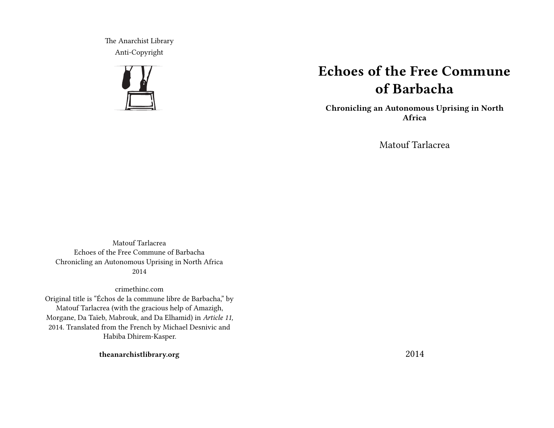The Anarchist Library Anti-Copyright



# **Echoes of the Free Commune of Barbacha**

**Chronicling an Autonomous Uprising in North Africa**

Matouf Tarlacrea

Matouf Tarlacrea Echoes of the Free Commune of Barbacha Chronicling an Autonomous Uprising in North Africa 2014

crimethinc.com Original title is "Échos de la commune libre de Barbacha," by Matouf Tarlacrea (with the gracious help of Amazigh, Morgane, Da Taïeb, Mabrouk, and Da Elhamid) in *Article 11,* 2014. Translated from the French by Michael Desnivic and Habiba Dhirem-Kasper.

**theanarchistlibrary.org**

2014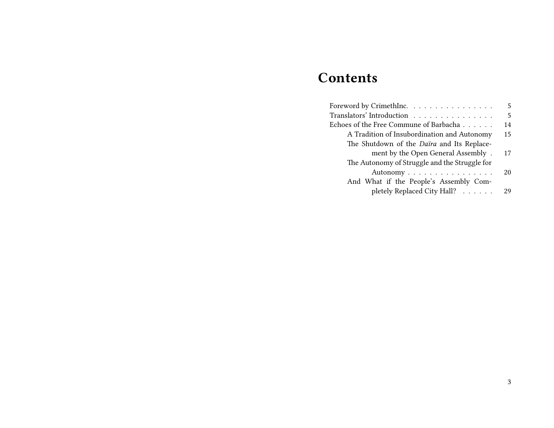# **Contents**

| Foreword by CrimethInc. $\ldots \ldots \ldots \ldots \ldots$ | 5  |
|--------------------------------------------------------------|----|
| Translators' Introduction                                    | 5  |
| Echoes of the Free Commune of Barbacha $\dots\dots$          | 14 |
| A Tradition of Insubordination and Autonomy                  | 15 |
| The Shutdown of the <i>Daïra</i> and Its Replace-            |    |
| ment by the Open General Assembly.                           | 17 |
| The Autonomy of Struggle and the Struggle for                |    |
| Autonomy                                                     | 20 |
| And What if the People's Assembly Com-                       |    |
| pletely Replaced City Hall?                                  | 29 |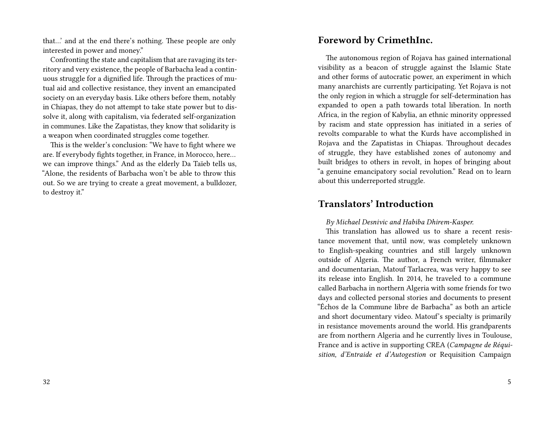that…' and at the end there's nothing. These people are only interested in power and money."

Confronting the state and capitalism that are ravaging its territory and very existence, the people of Barbacha lead a continuous struggle for a dignified life. Through the practices of mutual aid and collective resistance, they invent an emancipated society on an everyday basis. Like others before them, notably in Chiapas, they do not attempt to take state power but to dissolve it, along with capitalism, via federated self-organization in communes. Like the Zapatistas, they know that solidarity is a weapon when coordinated struggles come together.

This is the welder's conclusion: "We have to fight where we are. If everybody fights together, in France, in Morocco, here… we can improve things." And as the elderly Da Taïeb tells us, "Alone, the residents of Barbacha won't be able to throw this out. So we are trying to create a great movement, a bulldozer, to destroy it."

## **Foreword by CrimethInc.**

The autonomous region of Rojava has gained international visibility as a beacon of struggle against the Islamic State and other forms of autocratic power, an experiment in which many anarchists are currently participating. Yet Rojava is not the only region in which a struggle for self-determination has expanded to open a path towards total liberation. In north Africa, in the region of Kabylia, an ethnic minority oppressed by racism and state oppression has initiated in a series of revolts comparable to what the Kurds have accomplished in Rojava and the Zapatistas in Chiapas. Throughout decades of struggle, they have established zones of autonomy and built bridges to others in revolt, in hopes of bringing about "a genuine emancipatory social revolution." Read on to learn about this underreported struggle.

## **Translators' Introduction**

*By Michael Desnivic and Habiba Dhirem-Kasper.*

This translation has allowed us to share a recent resistance movement that, until now, was completely unknown to English-speaking countries and still largely unknown outside of Algeria. The author, a French writer, filmmaker and documentarian, Matouf Tarlacrea, was very happy to see its release into English. In 2014, he traveled to a commune called Barbacha in northern Algeria with some friends for two days and collected personal stories and documents to present "Échos de la Commune libre de Barbacha" as both an article and short documentary video. Matouf's specialty is primarily in resistance movements around the world. His grandparents are from northern Algeria and he currently lives in Toulouse, France and is active in supporting CREA (*Campagne de Réquisition, d'Entraide et d'Autogestion* or Requisition Campaign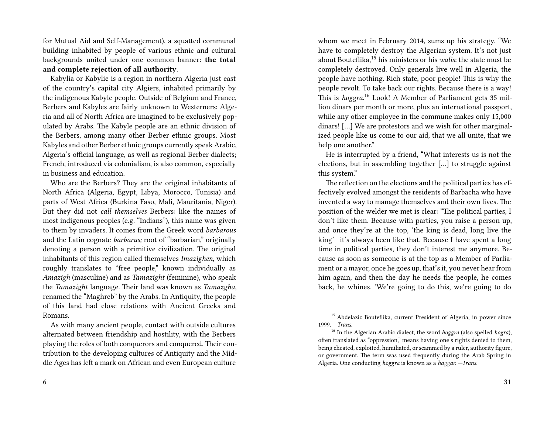for Mutual Aid and Self-Management), a squatted communal building inhabited by people of various ethnic and cultural backgrounds united under one common banner: **the total and complete rejection of all authority**.

Kabylia or Kabylie is a region in northern Algeria just east of the country's capital city Algiers, inhabited primarily by the indigenous Kabyle people. Outside of Belgium and France, Berbers and Kabyles are fairly unknown to Westerners: Algeria and all of North Africa are imagined to be exclusively populated by Arabs. The Kabyle people are an ethnic division of the Berbers, among many other Berber ethnic groups. Most Kabyles and other Berber ethnic groups currently speak Arabic, Algeria's official language, as well as regional Berber dialects; French, introduced via colonialism, is also common, especially in business and education.

Who are the Berbers? They are the original inhabitants of North Africa (Algeria, Egypt, Libya, Morocco, Tunisia) and parts of West Africa (Burkina Faso, Mali, Mauritania, Niger). But they did not *call themselves* Berbers: like the names of most indigenous peoples (e.g. "Indians"), this name was given to them by invaders. It comes from the Greek word *barbarous* and the Latin cognate *barbarus;* root of "barbarian," originally denoting a person with a primitive civilization. The original inhabitants of this region called themselves *Imazighen,* which roughly translates to "free people," known individually as *Amazigh* (masculine) and as *Tamazight* (feminine), who speak the *Tamazight* language. Their land was known as *Tamazgha,* renamed the "Maghreb" by the Arabs. In Antiquity, the people of this land had close relations with Ancient Greeks and Romans.

whom we meet in February 2014, sums up his strategy. "We have to completely destroy the Algerian system. It's not just about Bouteflika,<sup>15</sup> his ministers or his *walis*: the state must be completely destroyed. Only generals live well in Algeria, the people have nothing. Rich state, poor people! This is why the people revolt. To take back our rights. Because there is a way! This is *hoggra.*<sup>16</sup> Look! A Member of Parliament gets 35 million dinars per month or more, plus an international passport, while any other employee in the commune makes only 15,000 dinars! […] We are protestors and we wish for other marginalized people like us come to our aid, that we all unite, that we help one another."

He is interrupted by a friend, "What interests us is not the elections, but in assembling together […] to struggle against this system."

The reflection on the elections and the political parties has effectively evolved amongst the residents of Barbacha who have invented a way to manage themselves and their own lives. The position of the welder we met is clear: "The political parties, I don't like them. Because with parties, you raise a person up, and once they're at the top, 'the king is dead, long live the king'—it's always been like that. Because I have spent a long time in political parties, they don't interest me anymore. Because as soon as someone is at the top as a Member of Parliament or a mayor, once he goes up, that's it, you never hear from him again, and then the day he needs the people, he comes back, he whines. 'We're going to do this, we're going to do

As with many ancient people, contact with outside cultures alternated between friendship and hostility, with the Berbers playing the roles of both conquerors and conquered. Their contribution to the developing cultures of Antiquity and the Middle Ages has left a mark on African and even European culture

<sup>&</sup>lt;sup>15</sup> Abdelaziz Bouteflika, current President of Algeria, in power since 1999. *—Trans.*

<sup>16</sup> In the Algerian Arabic dialect, the word *hoggra* (also spelled *hogra*), often translated as "oppression," means having one's rights denied to them, being cheated, exploited, humiliated, or scammed by a ruler, authority figure, or government. The term was used frequently during the Arab Spring in Algeria. One conducting *hoggra* is known as a *haggar. —Trans.*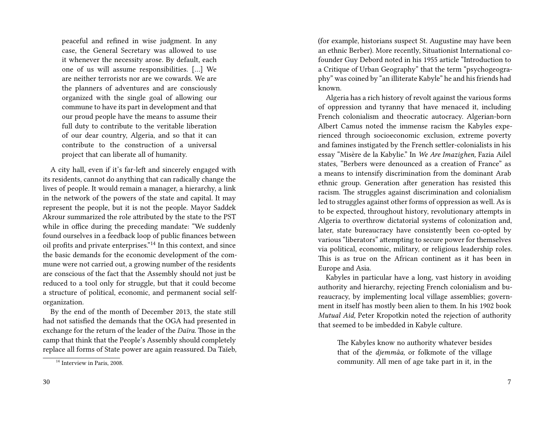peaceful and refined in wise judgment. In any case, the General Secretary was allowed to use it whenever the necessity arose. By default, each one of us will assume responsibilities. […] We are neither terrorists nor are we cowards. We are the planners of adventures and are consciously organized with the single goal of allowing our commune to have its part in development and that our proud people have the means to assume their full duty to contribute to the veritable liberation of our dear country, Algeria, and so that it can contribute to the construction of a universal project that can liberate all of humanity.

A city hall, even if it's far-left and sincerely engaged with its residents, cannot do anything that can radically change the lives of people. It would remain a manager, a hierarchy, a link in the network of the powers of the state and capital. It may represent the people, but it is not the people. Mayor Saddek Akrour summarized the role attributed by the state to the PST while in office during the preceding mandate: "We suddenly found ourselves in a feedback loop of public finances between oil profits and private enterprises."<sup>14</sup> In this context, and since the basic demands for the economic development of the commune were not carried out, a growing number of the residents are conscious of the fact that the Assembly should not just be reduced to a tool only for struggle, but that it could become a structure of political, economic, and permanent social selforganization.

By the end of the month of December 2013, the state still had not satisfied the demands that the OGA had presented in exchange for the return of the leader of the *Daïra.* Those in the camp that think that the People's Assembly should completely replace all forms of State power are again reassured. Da Taïeb, (for example, historians suspect St. Augustine may have been an ethnic Berber). More recently, Situationist International cofounder Guy Debord noted in his 1955 article "Introduction to a Critique of Urban Geography" that the term "psychogeography" was coined by "an illiterate Kabyle" he and his friends had known.

Algeria has a rich history of revolt against the various forms of oppression and tyranny that have menaced it, including French colonialism and theocratic autocracy. Algerian-born Albert Camus noted the immense racism the Kabyles experienced through socioeconomic exclusion, extreme poverty and famines instigated by the French settler-colonialists in his essay "Misère de la Kabylie." In *We Are Imazighen,* Fazia Ailel states, "Berbers were denounced as a creation of France" as a means to intensify discrimination from the dominant Arab ethnic group. Generation after generation has resisted this racism. The struggles against discrimination and colonialism led to struggles against other forms of oppression as well. As is to be expected, throughout history, revolutionary attempts in Algeria to overthrow dictatorial systems of colonization and, later, state bureaucracy have consistently been co-opted by various "liberators" attempting to secure power for themselves via political, economic, military, or religious leadership roles. This is as true on the African continent as it has been in Europe and Asia.

Kabyles in particular have a long, vast history in avoiding authority and hierarchy, rejecting French colonialism and bureaucracy, by implementing local village assemblies; government in itself has mostly been alien to them. In his 1902 book *Mutual Aid,* Peter Kropotkin noted the rejection of authority that seemed to be imbedded in Kabyle culture.

The Kabyles know no authority whatever besides that of the *djemmâa,* or folkmote of the village community. All men of age take part in it, in the

 $^{\overline{14}}$  Interview in Paris, 2008.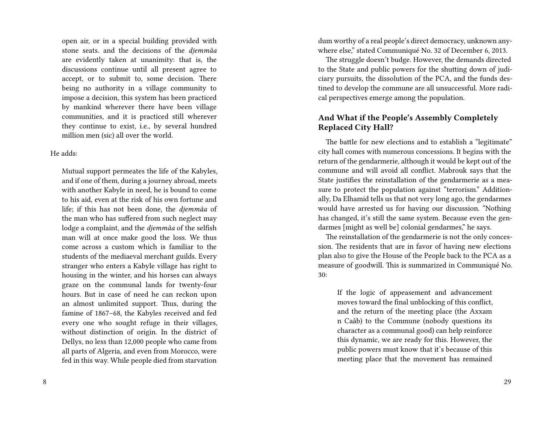open air, or in a special building provided with stone seats. and the decisions of the *djemmâa* are evidently taken at unanimity: that is, the discussions continue until all present agree to accept, or to submit to, some decision. There being no authority in a village community to impose a decision, this system has been practiced by mankind wherever there have been village communities, and it is practiced still wherever they continue to exist, i.e., by several hundred million men (sic) all over the world.

#### He adds:

Mutual support permeates the life of the Kabyles, and if one of them, during a journey abroad, meets with another Kabyle in need, he is bound to come to his aid, even at the risk of his own fortune and life; if this has not been done, the *djemmâa* of the man who has suffered from such neglect may lodge a complaint, and the *djemmâa* of the selfish man will at once make good the loss. We thus come across a custom which is familiar to the students of the mediaeval merchant guilds. Every stranger who enters a Kabyle village has right to housing in the winter, and his horses can always graze on the communal lands for twenty-four hours. But in case of need he can reckon upon an almost unlimited support. Thus, during the famine of 1867–68, the Kabyles received and fed every one who sought refuge in their villages, without distinction of origin. In the district of Dellys, no less than 12,000 people who came from all parts of Algeria, and even from Morocco, were fed in this way. While people died from starvation

dum worthy of a real people's direct democracy, unknown anywhere else," stated Communiqué No. 32 of December 6, 2013.

The struggle doesn't budge. However, the demands directed to the State and public powers for the shutting down of judiciary pursuits, the dissolution of the PCA, and the funds destined to develop the commune are all unsuccessful. More radical perspectives emerge among the population.

### **And What if the People's Assembly Completely Replaced City Hall?**

The battle for new elections and to establish a "legitimate" city hall comes with numerous concessions. It begins with the return of the gendarmerie, although it would be kept out of the commune and will avoid all conflict. Mabrouk says that the State justifies the reinstallation of the gendarmerie as a measure to protect the population against "terrorism." Additionally, Da Elhamid tells us that not very long ago, the gendarmes would have arrested us for having our discussion. "Nothing has changed, it's still the same system. Because even the gendarmes [might as well be] colonial gendarmes," he says.

The reinstallation of the gendarmerie is not the only concession. The residents that are in favor of having new elections plan also to give the House of the People back to the PCA as a measure of goodwill. This is summarized in Communiqué No. 30:

If the logic of appeasement and advancement moves toward the final unblocking of this conflict, and the return of the meeting place (the Axxam n Caâb) to the Commune (nobody questions its character as a communal good) can help reinforce this dynamic, we are ready for this. However, the public powers must know that it's because of this meeting place that the movement has remained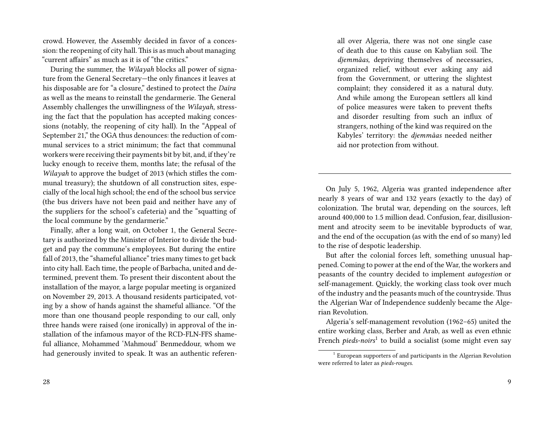crowd. However, the Assembly decided in favor of a concession: the reopening of city hall.This is as much about managing "current affairs" as much as it is of "the critics."

During the summer, the *Wilayah* blocks all power of signature from the General Secretary—the only finances it leaves at his disposable are for "a closure," destined to protect the *Daïra* as well as the means to reinstall the gendarmerie. The General Assembly challenges the unwillingness of the *Wilayah,* stressing the fact that the population has accepted making concessions (notably, the reopening of city hall). In the "Appeal of September 21," the OGA thus denounces: the reduction of communal services to a strict minimum; the fact that communal workers were receiving their payments bit by bit, and, if they're lucky enough to receive them, months late; the refusal of the *Wilayah* to approve the budget of 2013 (which stifles the communal treasury); the shutdown of all construction sites, especially of the local high school; the end of the school bus service (the bus drivers have not been paid and neither have any of the suppliers for the school's cafeteria) and the "squatting of the local commune by the gendarmerie."

Finally, after a long wait, on October 1, the General Secretary is authorized by the Minister of Interior to divide the budget and pay the commune's employees. But during the entire fall of 2013, the "shameful alliance" tries many times to get back into city hall. Each time, the people of Barbacha, united and determined, prevent them. To present their discontent about the installation of the mayor, a large popular meeting is organized on November 29, 2013. A thousand residents participated, voting by a show of hands against the shameful alliance. "Of the more than one thousand people responding to our call, only three hands were raised (one ironically) in approval of the installation of the infamous mayor of the RCD-FLN-FFS shameful alliance, Mohammed 'Mahmoud' Benmeddour, whom we had generously invited to speak. It was an authentic referen-

all over Algeria, there was not one single case of death due to this cause on Kabylian soil. The *djemmâas,* depriving themselves of necessaries, organized relief, without ever asking any aid from the Government, or uttering the slightest complaint; they considered it as a natural duty. And while among the European settlers all kind of police measures were taken to prevent thefts and disorder resulting from such an influx of strangers, nothing of the kind was required on the Kabyles' territory: the *djemmâas* needed neither aid nor protection from without.

On July 5, 1962, Algeria was granted independence after nearly 8 years of war and 132 years (exactly to the day) of colonization. The brutal war, depending on the sources, left around 400,000 to 1.5 million dead. Confusion, fear, disillusionment and atrocity seem to be inevitable byproducts of war, and the end of the occupation (as with the end of so many) led to the rise of despotic leadership.

But after the colonial forces left, something unusual happened. Coming to power at the end of the War, the workers and peasants of the country decided to implement *autogestion* or self-management. Quickly, the working class took over much of the industry and the peasants much of the countryside. Thus the Algerian War of Independence suddenly became the Algerian Revolution.

Algeria's self-management revolution (1962–65) united the entire working class, Berber and Arab, as well as even ethnic French *pieds-noirs*<sup>1</sup> to build a socialist (some might even say

<sup>&</sup>lt;sup>1</sup> European supporters of and participants in the Algerian Revolution were referred to later as *pieds-rouges.*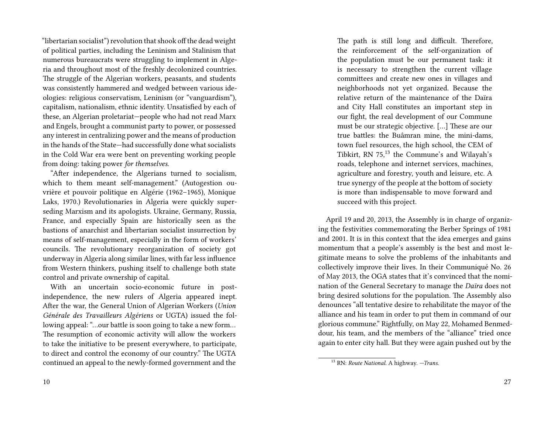"libertarian socialist") revolution that shook off the dead weight of political parties, including the Leninism and Stalinism that numerous bureaucrats were struggling to implement in Algeria and throughout most of the freshly decolonized countries. The struggle of the Algerian workers, peasants, and students was consistently hammered and wedged between various ideologies: religious conservatism, Leninism (or "vanguardism"), capitalism, nationalism, ethnic identity. Unsatisfied by each of these, an Algerian proletariat—people who had not read Marx and Engels, brought a communist party to power, or possessed any interest in centralizing power and the means of production in the hands of the State—had successfully done what socialists in the Cold War era were bent on preventing working people from doing: taking power *for themselves.*

"After independence, the Algerians turned to socialism, which to them meant self-management." (Autogestion ouvrière et pouvoir politique en Algérie (1962–1965), Monique Laks, 1970.) Revolutionaries in Algeria were quickly superseding Marxism and its apologists. Ukraine, Germany, Russia, France, and especially Spain are historically seen as the bastions of anarchist and libertarian socialist insurrection by means of self-management, especially in the form of workers' councils. The revolutionary reorganization of society got underway in Algeria along similar lines, with far less influence from Western thinkers, pushing itself to challenge both state control and private ownership of capital.

With an uncertain socio-economic future in postindependence, the new rulers of Algeria appeared inept. After the war, the General Union of Algerian Workers (*Union Générale des Travailleurs Algériens* or UGTA) issued the following appeal: "…our battle is soon going to take a new form… The resumption of economic activity will allow the workers to take the initiative to be present everywhere, to participate, to direct and control the economy of our country." The UGTA continued an appeal to the newly-formed government and the

The path is still long and difficult. Therefore, the reinforcement of the self-organization of the population must be our permanent task: it is necessary to strengthen the current village committees and create new ones in villages and neighborhoods not yet organized. Because the relative return of the maintenance of the Daïra and City Hall constitutes an important step in our fight, the real development of our Commune must be our strategic objective. […] These are our true battles: the Buâmran mine, the mini-dams, town fuel resources, the high school, the CEM of Tibkirt, RN 75,<sup>13</sup> the Commune's and Wilayah's roads, telephone and internet services, machines, agriculture and forestry, youth and leisure, etc. A true synergy of the people at the bottom of society is more than indispensable to move forward and succeed with this project.

April 19 and 20, 2013, the Assembly is in charge of organizing the festivities commemorating the Berber Springs of 1981 and 2001. It is in this context that the idea emerges and gains momentum that a people's assembly is the best and most legitimate means to solve the problems of the inhabitants and collectively improve their lives. In their Communiqué No. 26 of May 2013, the OGA states that it's convinced that the nomination of the General Secretary to manage the *Daïra* does not bring desired solutions for the population. The Assembly also denounces "all tentative desire to rehabilitate the mayor of the alliance and his team in order to put them in command of our glorious commune." Rightfully, on May 22, Mohamed Benmeddour, his team, and the members of the "alliance" tried once again to enter city hall. But they were again pushed out by the

<sup>13</sup> RN: *Route National.* A highway. *—Trans.*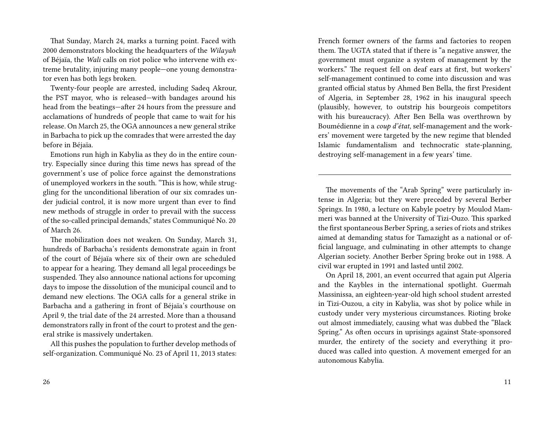That Sunday, March 24, marks a turning point. Faced with 2000 demonstrators blocking the headquarters of the *Wilayah* of Béjaïa, the *Wali* calls on riot police who intervene with extreme brutality, injuring many people—one young demonstrator even has both legs broken.

Twenty-four people are arrested, including Sadeq Akrour, the PST mayor, who is released—with bandages around his head from the beatings—after 24 hours from the pressure and acclamations of hundreds of people that came to wait for his release. On March 25, the OGA announces a new general strike in Barbacha to pick up the comrades that were arrested the day before in Béjaïa.

Emotions run high in Kabylia as they do in the entire country. Especially since during this time news has spread of the government's use of police force against the demonstrations of unemployed workers in the south. "This is how, while struggling for the unconditional liberation of our six comrades under judicial control, it is now more urgent than ever to find new methods of struggle in order to prevail with the success of the so-called principal demands," states Communiqué No. 20 of March 26.

The mobilization does not weaken. On Sunday, March 31, hundreds of Barbacha's residents demonstrate again in front of the court of Béjaïa where six of their own are scheduled to appear for a hearing. They demand all legal proceedings be suspended. They also announce national actions for upcoming days to impose the dissolution of the municipal council and to demand new elections. The OGA calls for a general strike in Barbacha and a gathering in front of Béjaïa's courthouse on April 9, the trial date of the 24 arrested. More than a thousand demonstrators rally in front of the court to protest and the general strike is massively undertaken.

All this pushes the population to further develop methods of self-organization. Communiqué No. 23 of April 11, 2013 states: French former owners of the farms and factories to reopen them. The UGTA stated that if there is "a negative answer, the government must organize a system of management by the workers." The request fell on deaf ears at first, but workers' self-management continued to come into discussion and was granted official status by Ahmed Ben Bella, the first President of Algeria, in September 28, 1962 in his inaugural speech (plausibly, however, to outstrip his bourgeois competitors with his bureaucracy). After Ben Bella was overthrown by Boumédienne in a *coup d'état,* self-management and the workers' movement were targeted by the new regime that blended Islamic fundamentalism and technocratic state-planning, destroying self-management in a few years' time.

The movements of the "Arab Spring" were particularly intense in Algeria; but they were preceded by several Berber Springs. In 1980, a lecture on Kabyle poetry by Moulod Mammeri was banned at the University of Tizi-Ouzo. This sparked the first spontaneous Berber Spring, a series of riots and strikes aimed at demanding status for Tamazight as a national or official language, and culminating in other attempts to change Algerian society. Another Berber Spring broke out in 1988. A civil war erupted in 1991 and lasted until 2002.

On April 18, 2001, an event occurred that again put Algeria and the Kaybles in the international spotlight. Guermah Massinissa, an eighteen-year-old high school student arrested in Tizi-Ouzou, a city in Kabylia, was shot by police while in custody under very mysterious circumstances. Rioting broke out almost immediately, causing what was dubbed the "Black Spring." As often occurs in uprisings against State-sponsored murder, the entirety of the society and everything it produced was called into question. A movement emerged for an autonomous Kabylia.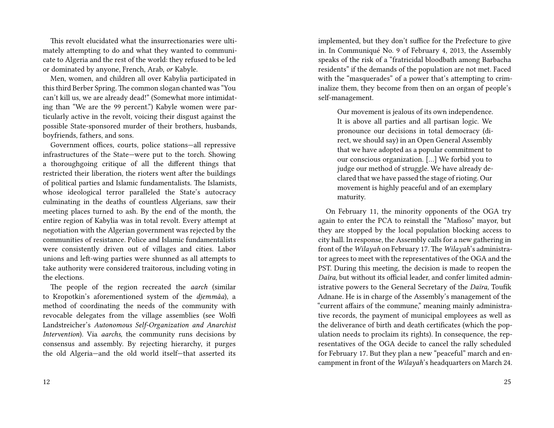This revolt elucidated what the insurrectionaries were ultimately attempting to do and what they wanted to communicate to Algeria and the rest of the world: they refused to be led or dominated by anyone, French, Arab, *or* Kabyle.

Men, women, and children all over Kabylia participated in this third Berber Spring. The common slogan chanted was "You can't kill us, we are already dead!" (Somewhat more intimidating than "We are the 99 percent.") Kabyle women were particularly active in the revolt, voicing their disgust against the possible State-sponsored murder of their brothers, husbands, boyfriends, fathers, and sons.

Government offices, courts, police stations—all repressive infrastructures of the State—were put to the torch. Showing a thoroughgoing critique of all the different things that restricted their liberation, the rioters went after the buildings of political parties and Islamic fundamentalists. The Islamists, whose ideological terror paralleled the State's autocracy culminating in the deaths of countless Algerians, saw their meeting places turned to ash. By the end of the month, the entire region of Kabylia was in total revolt. Every attempt at negotiation with the Algerian government was rejected by the communities of resistance. Police and Islamic fundamentalists were consistently driven out of villages and cities. Labor unions and left-wing parties were shunned as all attempts to take authority were considered traitorous, including voting in the elections.

The people of the region recreated the *aarch* (similar to Kropotkin's aforementioned system of the *djemmâa*), a method of coordinating the needs of the community with revocable delegates from the village assemblies (see Wolfi Landstreicher's *Autonomous Self-Organization and Anarchist Intervention*). Via *aarchs,* the community runs decisions by consensus and assembly. By rejecting hierarchy, it purges the old Algeria—and the old world itself—that asserted its

implemented, but they don't suffice for the Prefecture to give in. In Communiqué No. 9 of February 4, 2013, the Assembly speaks of the risk of a "fratricidal bloodbath among Barbacha residents" if the demands of the population are not met. Faced with the "masquerades" of a power that's attempting to criminalize them, they become from then on an organ of people's self-management.

Our movement is jealous of its own independence. It is above all parties and all partisan logic. We pronounce our decisions in total democracy (direct, we should say) in an Open General Assembly that we have adopted as a popular commitment to our conscious organization. […] We forbid you to judge our method of struggle. We have already declared that we have passed the stage of rioting. Our movement is highly peaceful and of an exemplary maturity.

On February 11, the minority opponents of the OGA try again to enter the PCA to reinstall the "Mafioso" mayor, but they are stopped by the local population blocking access to city hall. In response, the Assembly calls for a new gathering in front of the *Wilayah* on February 17. The *Wilayah*'s administrator agrees to meet with the representatives of the OGA and the PST. During this meeting, the decision is made to reopen the *Daïra,* but without its official leader, and confer limited administrative powers to the General Secretary of the *Daïra,* Toufik Adnane. He is in charge of the Assembly's management of the "current affairs of the commune," meaning mainly administrative records, the payment of municipal employees as well as the deliverance of birth and death certificates (which the population needs to proclaim its rights). In consequence, the representatives of the OGA decide to cancel the rally scheduled for February 17. But they plan a new "peaceful" march and encampment in front of the *Wilayah*'s headquarters on March 24.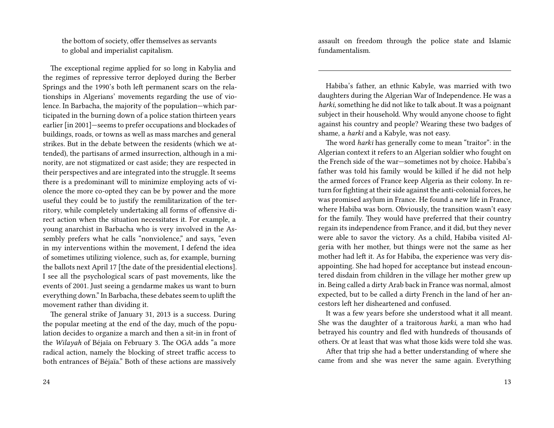the bottom of society, offer themselves as servants to global and imperialist capitalism.

The exceptional regime applied for so long in Kabylia and the regimes of repressive terror deployed during the Berber Springs and the 1990's both left permanent scars on the relationships in Algerians' movements regarding the use of violence. In Barbacha, the majority of the population—which participated in the burning down of a police station thirteen years earlier [in 2001]—seems to prefer occupations and blockades of buildings, roads, or towns as well as mass marches and general strikes. But in the debate between the residents (which we attended), the partisans of armed insurrection, although in a minority, are not stigmatized or cast aside; they are respected in their perspectives and are integrated into the struggle. It seems there is a predominant will to minimize employing acts of violence the more co-opted they can be by power and the more useful they could be to justify the remilitarization of the territory, while completely undertaking all forms of offensive direct action when the situation necessitates it. For example, a young anarchist in Barbacha who is very involved in the Assembly prefers what he calls "nonviolence," and says, "even in my interventions within the movement, I defend the idea of sometimes utilizing violence, such as, for example, burning the ballots next April 17 [the date of the presidential elections]. I see all the psychological scars of past movements, like the events of 2001. Just seeing a gendarme makes us want to burn everything down." In Barbacha, these debates seem to uplift the movement rather than dividing it.

The general strike of January 31, 2013 is a success. During the popular meeting at the end of the day, much of the population decides to organize a march and then a sit-in in front of the *Wilayah* of Béjaïa on February 3. The OGA adds "a more radical action, namely the blocking of street traffic access to both entrances of Béjaïa." Both of these actions are massively

24

assault on freedom through the police state and Islamic fundamentalism.

Habiba's father, an ethnic Kabyle, was married with two daughters during the Algerian War of Independence. He was a *harki,*something he did not like to talk about. It was a poignant subject in their household. Why would anyone choose to fight against his country and people? Wearing these two badges of shame, a *harki* and a Kabyle, was not easy.

The word *harki* has generally come to mean "traitor": in the Algerian context it refers to an Algerian soldier who fought on the French side of the war—sometimes not by choice. Habiba's father was told his family would be killed if he did not help the armed forces of France keep Algeria as their colony. In return for fighting at their side against the anti-colonial forces, he was promised asylum in France. He found a new life in France, where Habiba was born. Obviously, the transition wasn't easy for the family. They would have preferred that their country regain its independence from France, and it did, but they never were able to savor the victory. As a child, Habiba visited Algeria with her mother, but things were not the same as her mother had left it. As for Habiba, the experience was very disappointing. She had hoped for acceptance but instead encountered disdain from children in the village her mother grew up in. Being called a dirty Arab back in France was normal, almost expected, but to be called a dirty French in the land of her ancestors left her disheartened and confused.

It was a few years before she understood what it all meant. She was the daughter of a traitorous *harki,* a man who had betrayed his country and fled with hundreds of thousands of others. Or at least that was what those kids were told she was.

After that trip she had a better understanding of where she came from and she was never the same again. Everything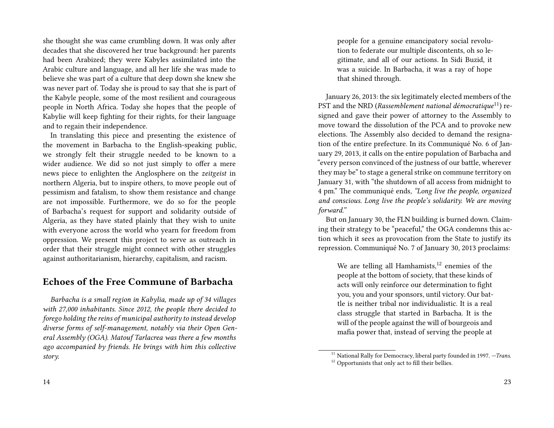she thought she was came crumbling down. It was only after decades that she discovered her true background: her parents had been Arabized; they were Kabyles assimilated into the Arabic culture and language, and all her life she was made to believe she was part of a culture that deep down she knew she was never part of. Today she is proud to say that she is part of the Kabyle people, some of the most resilient and courageous people in North Africa. Today she hopes that the people of Kabylie will keep fighting for their rights, for their language and to regain their independence.

In translating this piece and presenting the existence of the movement in Barbacha to the English-speaking public, we strongly felt their struggle needed to be known to a wider audience. We did so not just simply to offer a mere news piece to enlighten the Anglosphere on the *zeitgeist* in northern Algeria, but to inspire others, to move people out of pessimism and fatalism, to show them resistance and change are not impossible. Furthermore, we do so for the people of Barbacha's request for support and solidarity outside of Algeria, as they have stated plainly that they wish to unite with everyone across the world who yearn for freedom from oppression. We present this project to serve as outreach in order that their struggle might connect with other struggles against authoritarianism, hierarchy, capitalism, and racism.

## **Echoes of the Free Commune of Barbacha**

*Barbacha is a small region in Kabylia, made up of 34 villages with 27,000 inhabitants. Since 2012, the people there decided to forego holding the reins of municipal authority to instead develop diverse forms of self-management, notably via their Open General Assembly (OGA). Matouf Tarlacrea was there a few months ago accompanied by friends. He brings with him this collective story.*

January 26, 2013: the six legitimately elected members of the PST and the NRD (*Rassemblement national démocratique*11) resigned and gave their power of attorney to the Assembly to move toward the dissolution of the PCA and to provoke new elections. The Assembly also decided to demand the resignation of the entire prefecture. In its Communiqué No. 6 of January 29, 2013, it calls on the entire population of Barbacha and "every person convinced of the justness of our battle, wherever they may be" to stage a general strike on commune territory on January 31, with "the shutdown of all access from midnight to 4 pm." The communiqué ends, *"Long live the people, organized and conscious. Long live the people's solidarity. We are moving forward."*

But on January 30, the FLN building is burned down. Claiming their strategy to be "peaceful," the OGA condemns this action which it sees as provocation from the State to justify its repression. Communiqué No. 7 of January 30, 2013 proclaims:

We are telling all Hamhamists, $12$  enemies of the people at the bottom of society, that these kinds of acts will only reinforce our determination to fight you, you and your sponsors, until victory. Our battle is neither tribal nor individualistic. It is a real class struggle that started in Barbacha. It is the will of the people against the will of bourgeois and mafia power that, instead of serving the people at

<sup>&</sup>lt;sup>11</sup> National Rally for Democracy, liberal party founded in 1997. *-Trans.*  $^{12}$  Opportunists that only act to fill their bellies.

<sup>14</sup>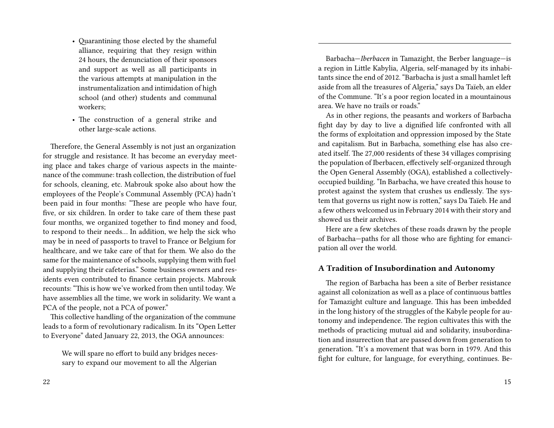- Quarantining those elected by the shameful alliance, requiring that they resign within 24 hours, the denunciation of their sponsors and support as well as all participants in the various attempts at manipulation in the instrumentalization and intimidation of high school (and other) students and communal workers;
- The construction of a general strike and other large-scale actions.

Therefore, the General Assembly is not just an organization for struggle and resistance. It has become an everyday meeting place and takes charge of various aspects in the maintenance of the commune: trash collection, the distribution of fuel for schools, cleaning, etc. Mabrouk spoke also about how the employees of the People's Communal Assembly (PCA) hadn't been paid in four months: "These are people who have four, five, or six children. In order to take care of them these past four months, we organized together to find money and food, to respond to their needs… In addition, we help the sick who may be in need of passports to travel to France or Belgium for healthcare, and we take care of that for them. We also do the same for the maintenance of schools, supplying them with fuel and supplying their cafeterias." Some business owners and residents even contributed to finance certain projects. Mabrouk recounts: "This is how we've worked from then until today. We have assemblies all the time, we work in solidarity. We want a PCA of the people, not a PCA of power."

This collective handling of the organization of the commune leads to a form of revolutionary radicalism. In its "Open Letter to Everyone" dated January 22, 2013, the OGA announces:

We will spare no effort to build any bridges necessary to expand our movement to all the Algerian

Barbacha—*Iberbacen* in Tamazight, the Berber language—is a region in Little Kabylia, Algeria, self-managed by its inhabitants since the end of 2012. "Barbacha is just a small hamlet left aside from all the treasures of Algeria," says Da Taïeb, an elder of the Commune. "It's a poor region located in a mountainous area. We have no trails or roads."

As in other regions, the peasants and workers of Barbacha fight day by day to live a dignified life confronted with all the forms of exploitation and oppression imposed by the State and capitalism. But in Barbacha, something else has also created itself. The 27,000 residents of these 34 villages comprising the population of Iberbacen, effectively self-organized through the Open General Assembly (OGA), established a collectivelyoccupied building. "In Barbacha, we have created this house to protest against the system that crushes us endlessly. The system that governs us right now is rotten," says Da Taïeb. He and a few others welcomed us in February 2014 with their story and showed us their archives.

Here are a few sketches of these roads drawn by the people of Barbacha—paths for all those who are fighting for emancipation all over the world.

#### **A Tradition of Insubordination and Autonomy**

The region of Barbacha has been a site of Berber resistance against all colonization as well as a place of continuous battles for Tamazight culture and language. This has been imbedded in the long history of the struggles of the Kabyle people for autonomy and independence. The region cultivates this with the methods of practicing mutual aid and solidarity, insubordination and insurrection that are passed down from generation to generation. "It's a movement that was born in 1979. And this fight for culture, for language, for everything, continues. Be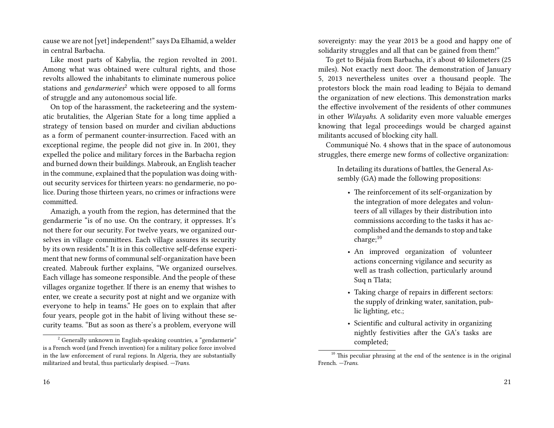cause we are not [yet] independent!" says Da Elhamid, a welder in central Barbacha.

Like most parts of Kabylia, the region revolted in 2001. Among what was obtained were cultural rights, and those revolts allowed the inhabitants to eliminate numerous police stations and *gendarmeries*<sup>2</sup> which were opposed to all forms of struggle and any autonomous social life.

On top of the harassment, the racketeering and the systematic brutalities, the Algerian State for a long time applied a strategy of tension based on murder and civilian abductions as a form of permanent counter-insurrection. Faced with an exceptional regime, the people did not give in. In 2001, they expelled the police and military forces in the Barbacha region and burned down their buildings. Mabrouk, an English teacher in the commune, explained that the population was doing without security services for thirteen years: no gendarmerie, no police. During those thirteen years, no crimes or infractions were committed.

Amazigh, a youth from the region, has determined that the gendarmerie "is of no use. On the contrary, it oppresses. It's not there for our security. For twelve years, we organized ourselves in village committees. Each village assures its security by its own residents." It is in this collective self-defense experiment that new forms of communal self-organization have been created. Mabrouk further explains, "We organized ourselves. Each village has someone responsible. And the people of these villages organize together. If there is an enemy that wishes to enter, we create a security post at night and we organize with everyone to help in teams." He goes on to explain that after four years, people got in the habit of living without these security teams. "But as soon as there's a problem, everyone will

16

sovereignty: may the year 2013 be a good and happy one of solidarity struggles and all that can be gained from them!"

To get to Béjaïa from Barbacha, it's about 40 kilometers (25 miles). Not exactly next door. The demonstration of January 5, 2013 nevertheless unites over a thousand people. The protestors block the main road leading to Béjaïa to demand the organization of new elections. This demonstration marks the effective involvement of the residents of other communes in other *Wilayahs.* A solidarity even more valuable emerges knowing that legal proceedings would be charged against militants accused of blocking city hall.

Communiqué No. 4 shows that in the space of autonomous struggles, there emerge new forms of collective organization:

In detailing its durations of battles, the General Assembly (GA) made the following propositions:

- The reinforcement of its self-organization by the integration of more delegates and volunteers of all villages by their distribution into commissions according to the tasks it has accomplished and the demands to stop and take charge;<sup>10</sup>
- An improved organization of volunteer actions concerning vigilance and security as well as trash collection, particularly around Suq n Tlata;
- Taking charge of repairs in different sectors: the supply of drinking water, sanitation, public lighting, etc.;
- Scientific and cultural activity in organizing nightly festivities after the GA's tasks are completed;

<sup>&</sup>lt;sup>2</sup> Generally unknown in English-speaking countries, a "gendarmerie" is a French word (and French invention) for a military police force involved in the law enforcement of rural regions. In Algeria, they are substantially militarized and brutal, thus particularly despised. *—Trans.*

 $10$  This peculiar phrasing at the end of the sentence is in the original French. *—Trans.*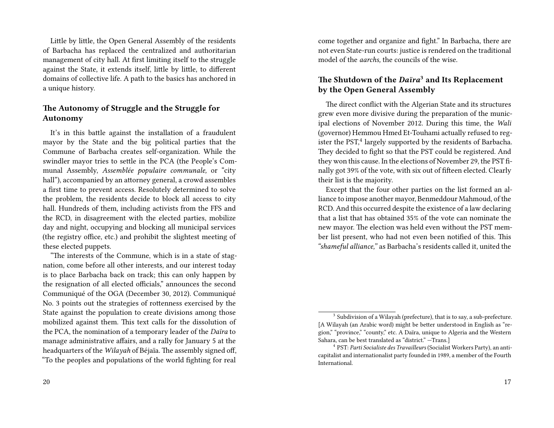Little by little, the Open General Assembly of the residents of Barbacha has replaced the centralized and authoritarian management of city hall. At first limiting itself to the struggle against the State, it extends itself, little by little, to different domains of collective life. A path to the basics has anchored in a unique history.

### **The Autonomy of Struggle and the Struggle for Autonomy**

It's in this battle against the installation of a fraudulent mayor by the State and the big political parties that the Commune of Barbacha creates self-organization. While the swindler mayor tries to settle in the PCA (the People's Communal Assembly, *Assemblée populaire communale,* or "city hall"), accompanied by an attorney general, a crowd assembles a first time to prevent access. Resolutely determined to solve the problem, the residents decide to block all access to city hall. Hundreds of them, including activists from the FFS and the RCD, in disagreement with the elected parties, mobilize day and night, occupying and blocking all municipal services (the registry office, etc.) and prohibit the slightest meeting of these elected puppets.

"The interests of the Commune, which is in a state of stagnation, come before all other interests, and our interest today is to place Barbacha back on track; this can only happen by the resignation of all elected officials," announces the second Communiqué of the OGA (December 30, 2012). Communiqué No. 3 points out the strategies of rottenness exercised by the State against the population to create divisions among those mobilized against them. This text calls for the dissolution of the PCA, the nomination of a temporary leader of the *Daïra* to manage administrative affairs, and a rally for January 5 at the headquarters of the *Wilayah* of Béjaïa. The assembly signed off, "To the peoples and populations of the world fighting for real

come together and organize and fight." In Barbacha, there are not even State-run courts: justice is rendered on the traditional model of the *aarchs,* the councils of the wise.

## **The Shutdown of the** *Daïra***<sup>3</sup> and Its Replacement by the Open General Assembly**

The direct conflict with the Algerian State and its structures grew even more divisive during the preparation of the municipal elections of November 2012. During this time, the *Wali* (governor) Hemmou Hmed Et-Touhami actually refused to register the PST, $4$  largely supported by the residents of Barbacha. They decided to fight so that the PST could be registered. And they won this cause. In the elections of November 29, the PST finally got 39% of the vote, with six out of fifteen elected. Clearly their list is the majority.

Except that the four other parties on the list formed an alliance to impose another mayor, Benmeddour Mahmoud, of the RCD. And this occurred despite the existence of a law declaring that a list that has obtained 35% of the vote can nominate the new mayor. The election was held even without the PST member list present, who had not even been notified of this. This *"shameful alliance,"* as Barbacha's residents called it, united the

 $3$  Subdivision of a Wilayah (prefecture), that is to say, a sub-prefecture. [A Wilayah (an Arabic word) might be better understood in English as "region," "province," "county," etc. A Daïra, unique to Algeria and the Western Sahara, can be best translated as "district." —Trans.]

<sup>4</sup> PST: *Parti Socialiste des Travailleurs* (Socialist Workers Party), an anticapitalist and internationalist party founded in 1989, a member of the Fourth International.